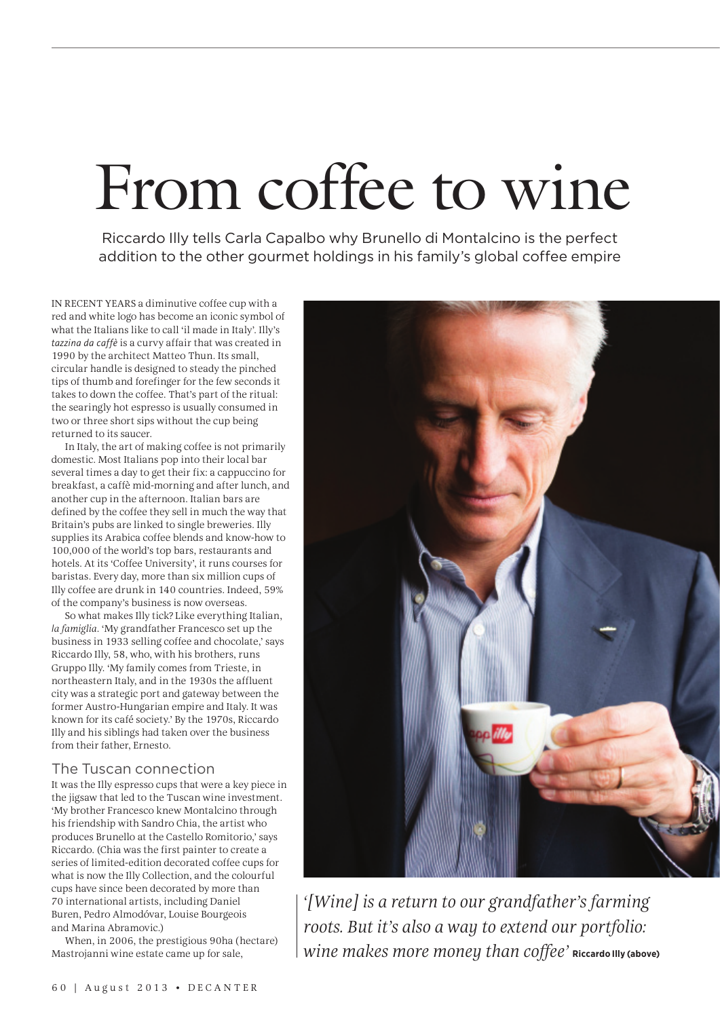## From coffee to wine

Riccardo Illy tells Carla Capalbo why Brunello di Montalcino is the perfect addition to the other gourmet holdings in his family's global coffee empire

IN RECENT YEARS a diminutive coffee cup with a red and white logo has become an iconic symbol of what the Italians like to call 'il made in Italy'. Illy's *tazzina da caffè* is a curvy affair that was created in 1990 by the architect Matteo Thun. Its small, circular handle is designed to steady the pinched tips of thumb and forefinger for the few seconds it takes to down the coffee. That's part of the ritual: the searingly hot espresso is usually consumed in two or three short sips without the cup being returned to its saucer.

In Italy, the art of making coffee is not primarily domestic. Most Italians pop into their local bar several times a day to get their fix: a cappuccino for breakfast, a caffè mid-morning and after lunch, and another cup in the afternoon. Italian bars are defined by the coffee they sell in much the way that Britain's pubs are linked to single breweries. Illy supplies its Arabica coffee blends and know-how to 100,000 of the world's top bars, restaurants and hotels. At its 'Coffee University', it runs courses for baristas. Every day, more than six million cups of Illy coffee are drunk in 140 countries. Indeed, 59% of the company's business is now overseas.

So what makes Illy tick? Like everything Italian, *la famiglia*. 'My grandfather Francesco set up the business in 1933 selling coffee and chocolate,' says Riccardo Illy, 58, who, with his brothers, runs Gruppo Illy. 'My family comes from Trieste, in northeastern Italy, and in the 1930s the affluent city was a strategic port and gateway between the former Austro-Hungarian empire and Italy. It was known for its café society.' By the 1970s, Riccardo Illy and his siblings had taken over the business from their father, Ernesto.

## The Tuscan connection

It was the Illy espresso cups that were a key piece in the jigsaw that led to the Tuscan wine investment. 'My brother Francesco knew Montalcino through his friendship with Sandro Chia, the artist who produces Brunello at the Castello Romitorio,' says Riccardo. (Chia was the first painter to create a series of limited-edition decorated coffee cups for what is now the Illy Collection, and the colourful cups have since been decorated by more than 70 international artists, including Daniel Buren, Pedro Almodóvar, Louise Bourgeois and Marina Abramovic.)

When, in 2006, the prestigious 90ha (hectare) Mastrojanni wine estate came up for sale,



*'[Wine] is a return to our grandfather's farming roots. But it's also a way to extend our portfolio: wine makes more money than coffee'* **Riccardo Illy (above)**